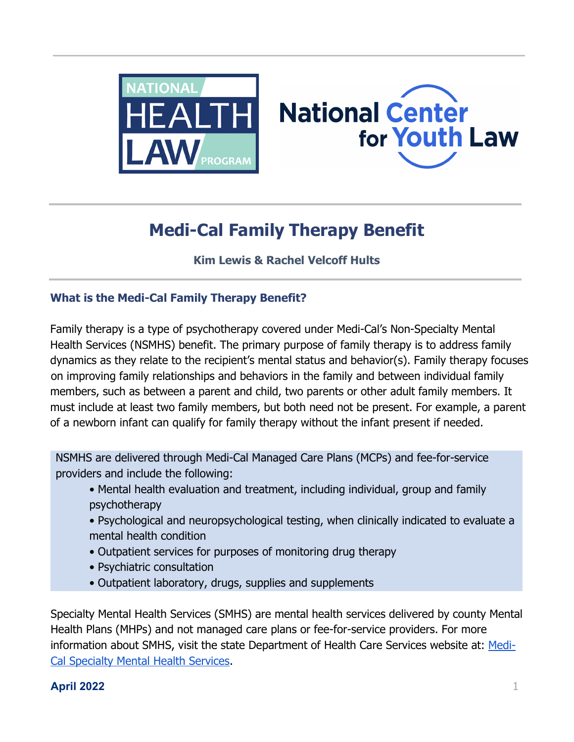



# **Medi-Cal Family Therapy Benefit**

# **Kim Lewis & Rachel Velcoff Hults**

# **What is the Medi-Cal Family Therapy Benefit?**

Family therapy is a type of psychotherapy covered under Medi-Cal's Non-Specialty Mental Health Services (NSMHS) benefit. The primary purpose of family therapy is to address family dynamics as they relate to the recipient's mental status and behavior(s). Family therapy focuses on improving family relationships and behaviors in the family and between individual family members, such as between a parent and child, two parents or other adult family members. It must include at least two family members, but both need not be present. For example, a parent of a newborn infant can qualify for family therapy without the infant present if needed.

NSMHS are delivered through Medi-Cal Managed Care Plans (MCPs) and fee-for-service providers and include the following:

- Mental health evaluation and treatment, including individual, group and family psychotherapy
- Psychological and neuropsychological testing, when clinically indicated to evaluate a mental health condition
- Outpatient services for purposes of monitoring drug therapy
- Psychiatric consultation
- Outpatient laboratory, drugs, supplies and supplements

Specialty Mental Health Services (SMHS) are mental health services delivered by county Mental Health Plans (MHPs) and not managed care plans or fee-for-service providers. For more information about SMHS, visit the state Department of Health Care Services website at: [Medi-](https://www.dhcs.ca.gov/services/Pages/Medi-cal_SMHS.aspx)[Cal Specialty Mental Health Services.](https://www.dhcs.ca.gov/services/Pages/Medi-cal_SMHS.aspx)

# **April 2022** 1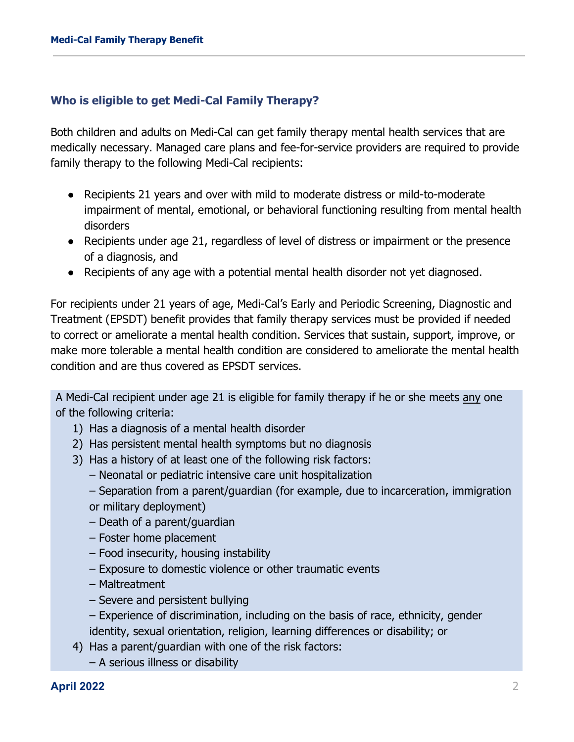### **Who is eligible to get Medi-Cal Family Therapy?**

Both children and adults on Medi-Cal can get family therapy mental health services that are medically necessary. Managed care plans and fee-for-service providers are required to provide family therapy to the following Medi-Cal recipients:

- Recipients 21 years and over with mild to moderate distress or mild-to-moderate impairment of mental, emotional, or behavioral functioning resulting from mental health disorders
- Recipients under age 21, regardless of level of distress or impairment or the presence of a diagnosis, and
- Recipients of any age with a potential mental health disorder not yet diagnosed.

For recipients under 21 years of age, Medi-Cal's Early and Periodic Screening, Diagnostic and Treatment (EPSDT) benefit provides that family therapy services must be provided if needed to correct or ameliorate a mental health condition. Services that sustain, support, improve, or make more tolerable a mental health condition are considered to ameliorate the mental health condition and are thus covered as EPSDT services.

A Medi-Cal recipient under age 21 is eligible for family therapy if he or she meets any one of the following criteria:

- 1) Has a diagnosis of a mental health disorder
- 2) Has persistent mental health symptoms but no diagnosis
- 3) Has a history of at least one of the following risk factors:
	- Neonatal or pediatric intensive care unit hospitalization
	- Separation from a parent/guardian (for example, due to incarceration, immigration or military deployment)
	- Death of a parent/guardian
	- Foster home placement
	- Food insecurity, housing instability
	- Exposure to domestic violence or other traumatic events
	- Maltreatment
	- Severe and persistent bullying
	- Experience of discrimination, including on the basis of race, ethnicity, gender identity, sexual orientation, religion, learning differences or disability; or
- 4) Has a parent/guardian with one of the risk factors:
	- A serious illness or disability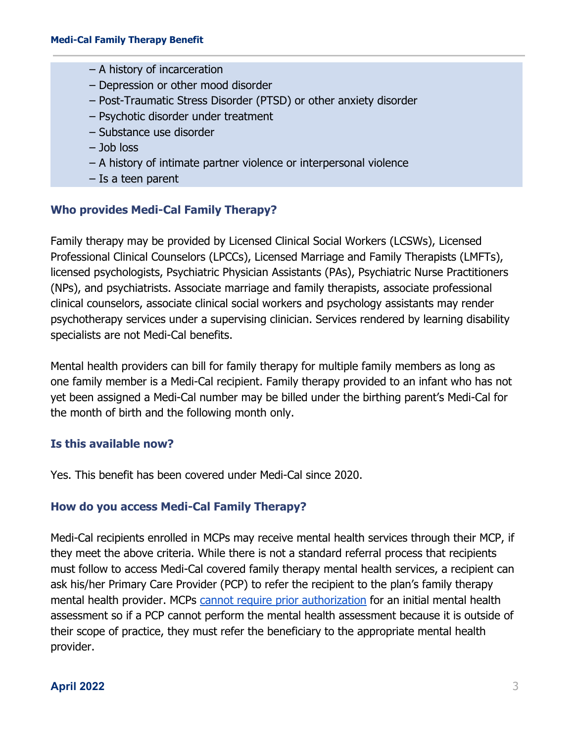- A history of incarceration
- Depression or other mood disorder
- Post-Traumatic Stress Disorder (PTSD) or other anxiety disorder
- Psychotic disorder under treatment
- Substance use disorder
- Job loss
- A history of intimate partner violence or interpersonal violence
- Is a teen parent

# **Who provides Medi-Cal Family Therapy?**

Family therapy may be provided by Licensed Clinical Social Workers (LCSWs), Licensed Professional Clinical Counselors (LPCCs), Licensed Marriage and Family Therapists (LMFTs), licensed psychologists, Psychiatric Physician Assistants (PAs), Psychiatric Nurse Practitioners (NPs), and psychiatrists. Associate marriage and family therapists, associate professional clinical counselors, associate clinical social workers and psychology assistants may render psychotherapy services under a supervising clinician. Services rendered by learning disability specialists are not Medi-Cal benefits.

Mental health providers can bill for family therapy for multiple family members as long as one family member is a Medi-Cal recipient. Family therapy provided to an infant who has not yet been assigned a Medi-Cal number may be billed under the birthing parent's Medi-Cal for the month of birth and the following month only.

## **Is this available now?**

Yes. This benefit has been covered under Medi-Cal since 2020.

## **How do you access Medi-Cal Family Therapy?**

Medi-Cal recipients enrolled in MCPs may receive mental health services through their MCP, if they meet the above criteria. While there is not a standard referral process that recipients must follow to access Medi-Cal covered family therapy mental health services, a recipient can ask his/her Primary Care Provider (PCP) to refer the recipient to the plan's family therapy mental health provider. MCPs [cannot require prior authorization](https://www.dhcs.ca.gov/formsandpubs/Documents/MMCDAPLsandPolicyLetters/APL2017/APL17-018.pdf) for an initial mental health assessment so if a PCP cannot perform the mental health assessment because it is outside of their scope of practice, they must refer the beneficiary to the appropriate mental health provider.